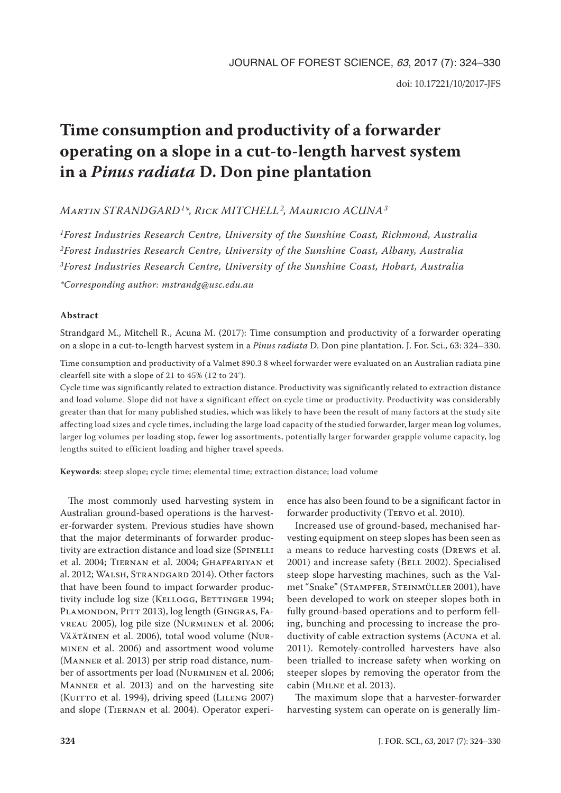# **Time consumption and productivity of a forwarder operating on a slope in a cut-to-length harvest system in a** *Pinus radiata* **D. Don pine plantation**

# *Martin STRANDGARD1\*, Rick MITCHELL2, Mauricio ACUNA3*

*1Forest Industries Research Centre, University of the Sunshine Coast, Richmond, Australia 2Forest Industries Research Centre, University of the Sunshine Coast, Albany, Australia 3Forest Industries Research Centre, University of the Sunshine Coast, Hobart, Australia*

*\*Corresponding author: mstrandg@usc.edu.au*

# **Abstract**

Strandgard M., Mitchell R., Acuna M. (2017): Time consumption and productivity of a forwarder operating on a slope in a cut-to-length harvest system in a *Pinus radiata* D. Don pine plantation. J. For. Sci., 63: 324–330.

Time consumption and productivity of a Valmet 890.3 8 wheel forwarder were evaluated on an Australian radiata pine clearfell site with a slope of 21 to 45% (12 to 24°).

Cycle time was significantly related to extraction distance. Productivity was significantly related to extraction distance and load volume. Slope did not have a significant effect on cycle time or productivity. Productivity was considerably greater than that for many published studies, which was likely to have been the result of many factors at the study site affecting load sizes and cycle times, including the large load capacity of the studied forwarder, larger mean log volumes, larger log volumes per loading stop, fewer log assortments, potentially larger forwarder grapple volume capacity, log lengths suited to efficient loading and higher travel speeds.

**Keywords**: steep slope; cycle time; elemental time; extraction distance; load volume

The most commonly used harvesting system in Australian ground-based operations is the harvester-forwarder system. Previous studies have shown that the major determinants of forwarder productivity are extraction distance and load size (SPINELLI et al. 2004; Tiernan et al. 2004; Ghaffariyan et al. 2012; Walsh, Strandgard 2014). Other factors that have been found to impact forwarder productivity include log size (KELLOGG, BETTINGER 1994; PLAMONDON, PITT 2013), log length (GINGRAS, FAvreau 2005), log pile size (Nurminen et al. 2006; Väätäinen et al. 2006), total wood volume (Nurminen et al. 2006) and assortment wood volume (Manner et al. 2013) per strip road distance, number of assortments per load (Nurminen et al. 2006; Manner et al. 2013) and on the harvesting site (KUITTO et al. 1994), driving speed (LILENG 2007) and slope (Tiernan et al. 2004). Operator experience has also been found to be a significant factor in forwarder productivity (Tervo et al. 2010).

Increased use of ground-based, mechanised harvesting equipment on steep slopes has been seen as a means to reduce harvesting costs (Drews et al. 2001) and increase safety (BELL 2002). Specialised steep slope harvesting machines, such as the Valmet "Snake" (Stampfer, Steinmüller 2001), have been developed to work on steeper slopes both in fully ground-based operations and to perform felling, bunching and processing to increase the productivity of cable extraction systems (Acuna et al. 2011). Remotely-controlled harvesters have also been trialled to increase safety when working on steeper slopes by removing the operator from the cabin (Milne et al. 2013).

The maximum slope that a harvester-forwarder harvesting system can operate on is generally lim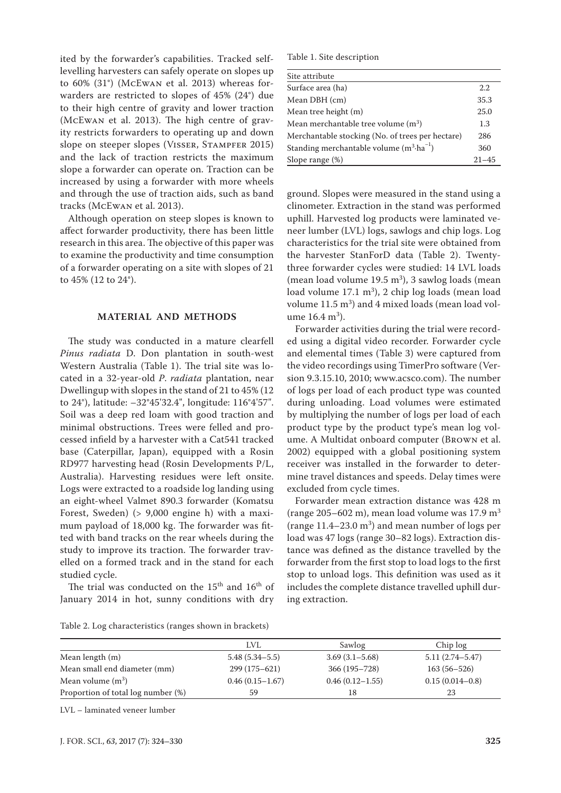ited by the forwarder's capabilities. Tracked selflevelling harvesters can safely operate on slopes up to 60% (31°) (McEwan et al. 2013) whereas forwarders are restricted to slopes of 45% (24°) due to their high centre of gravity and lower traction (McEwan et al. 2013). The high centre of gravity restricts forwarders to operating up and down slope on steeper slopes (VISSER, STAMPFER 2015) and the lack of traction restricts the maximum slope a forwarder can operate on. Traction can be increased by using a forwarder with more wheels and through the use of traction aids, such as band tracks (McEwan et al. 2013).

Although operation on steep slopes is known to affect forwarder productivity, there has been little research in this area. The objective of this paper was to examine the productivity and time consumption of a forwarder operating on a site with slopes of 21 to 45% (12 to 24°).

# **MATERIAL AND METHODS**

The study was conducted in a mature clearfell *Pinus radiata* D. Don plantation in south-west Western Australia (Table 1). The trial site was located in a 32-year-old *P*. *radiata* plantation, near Dwellingup with slopes in the stand of 21 to 45% (12 to 24°), latitude: –32°45'32.4", longitude: 116°4'57". Soil was a deep red loam with good traction and minimal obstructions. Trees were felled and processed infield by a harvester with a Cat541 tracked base (Caterpillar, Japan), equipped with a Rosin RD977 harvesting head (Rosin Developments P/L, Australia). Harvesting residues were left onsite. Logs were extracted to a roadside log landing using an eight-wheel Valmet 890.3 forwarder (Komatsu Forest, Sweden) (> 9,000 engine h) with a maximum payload of 18,000 kg. The forwarder was fitted with band tracks on the rear wheels during the study to improve its traction. The forwarder travelled on a formed track and in the stand for each studied cycle.

The trial was conducted on the 15<sup>th</sup> and 16<sup>th</sup> of January 2014 in hot, sunny conditions with dry

Table 1. Site description

| Site attribute                                     |           |
|----------------------------------------------------|-----------|
| Surface area (ha)                                  | 2.2.      |
| Mean DBH (cm)                                      | 35.3      |
| Mean tree height (m)                               | 25.0      |
| Mean merchantable tree volume $(m^3)$              | 1.3       |
| Merchantable stocking (No. of trees per hectare)   | 286       |
| Standing merchantable volume $(m^3 \cdot ha^{-1})$ | 360       |
| Slope range $(\%)$                                 | $21 - 45$ |

ground. Slopes were measured in the stand using a clinometer. Extraction in the stand was performed uphill. Harvested log products were laminated veneer lumber (LVL) logs, sawlogs and chip logs. Log characteristics for the trial site were obtained from the harvester StanForD data (Table 2). Twentythree forwarder cycles were studied: 14 LVL loads (mean load volume  $19.5 \text{ m}^3$ ), 3 sawlog loads (mean  $load$  volume  $17.1 \text{ m}^3$ ),  $2 \text{ chip log}$  loads (mean load volume  $11.5 \text{ m}^3$ ) and  $4 \text{ mixed loads}$  (mean load volume  $16.4 \text{ m}^3$ ).

Forwarder activities during the trial were recorded using a digital video recorder. Forwarder cycle and elemental times (Table 3) were captured from the video recordings using TimerPro software (Version 9.3.15.10, 2010; www.acsco.com). The number of logs per load of each product type was counted during unloading. Load volumes were estimated by multiplying the number of logs per load of each product type by the product type's mean log volume. A Multidat onboard computer (Brown et al. 2002) equipped with a global positioning system receiver was installed in the forwarder to determine travel distances and speeds. Delay times were excluded from cycle times.

Forwarder mean extraction distance was 428 m (range  $205-602$  m), mean load volume was 17.9 m<sup>3</sup> (range  $11.4-23.0 \text{ m}^3$ ) and mean number of logs per load was 47 logs (range 30–82 logs). Extraction distance was defined as the distance travelled by the forwarder from the first stop to load logs to the first stop to unload logs. This definition was used as it includes the complete distance travelled uphill during extraction.

| Table 2. Log characteristics (ranges shown in brackets) |  |
|---------------------------------------------------------|--|
|---------------------------------------------------------|--|

|                                    | LVL                 | Sawlog              | Chip log            |
|------------------------------------|---------------------|---------------------|---------------------|
| Mean length (m)                    | $5.48(5.34 - 5.5)$  | $3.69(3.1 - 5.68)$  | $5.11(2.74 - 5.47)$ |
| Mean small end diameter (mm)       | 299 (175–621)       | 366 (195-728)       | $163(56 - 526)$     |
| Mean volume $(m^3)$                | $0.46(0.15 - 1.67)$ | $0.46(0.12 - 1.55)$ | $0.15(0.014 - 0.8)$ |
| Proportion of total log number (%) | 59                  | 18                  | 23                  |

LVL – laminated veneer lumber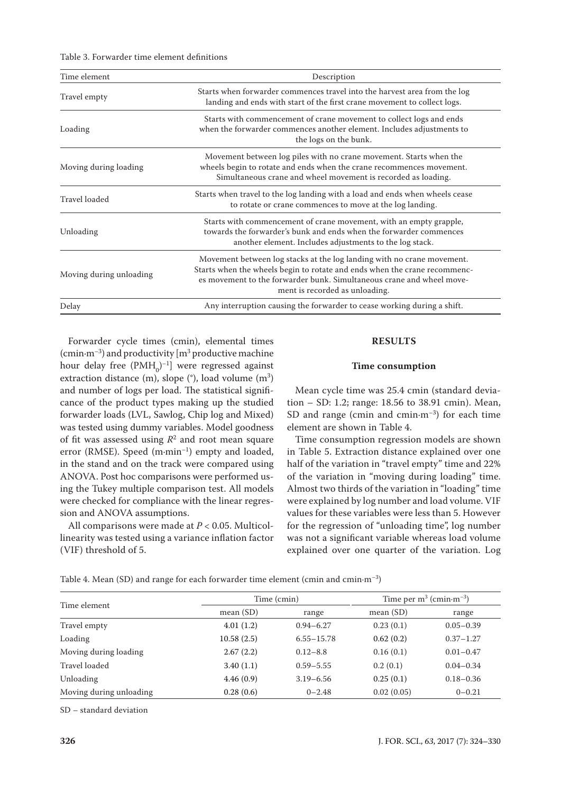Table 3. Forwarder time element definitions

| Time element            | Description                                                                                                                                                                                                                                                    |
|-------------------------|----------------------------------------------------------------------------------------------------------------------------------------------------------------------------------------------------------------------------------------------------------------|
| Travel empty            | Starts when forwarder commences travel into the harvest area from the log<br>landing and ends with start of the first crane movement to collect logs.                                                                                                          |
| Loading                 | Starts with commencement of crane movement to collect logs and ends<br>when the forwarder commences another element. Includes adjustments to<br>the logs on the bunk.                                                                                          |
| Moving during loading   | Movement between log piles with no crane movement. Starts when the<br>wheels begin to rotate and ends when the crane recommences movement.<br>Simultaneous crane and wheel movement is recorded as loading.                                                    |
| Travel loaded           | Starts when travel to the log landing with a load and ends when wheels cease<br>to rotate or crane commences to move at the log landing.                                                                                                                       |
| Unloading               | Starts with commencement of crane movement, with an empty grapple,<br>towards the forwarder's bunk and ends when the forwarder commences<br>another element. Includes adjustments to the log stack.                                                            |
| Moving during unloading | Movement between log stacks at the log landing with no crane movement.<br>Starts when the wheels begin to rotate and ends when the crane recommenc-<br>es movement to the forwarder bunk. Simultaneous crane and wheel move-<br>ment is recorded as unloading. |
| Delay                   | Any interruption causing the forwarder to cease working during a shift.                                                                                                                                                                                        |

# Forwarder cycle times (cmin), elemental times (cmin $\cdot$ m<sup>-3</sup>) and productivity [m<sup>3</sup> productive machine hour delay free  $(PMH_0)^{-1}$ ] were regressed against extraction distance  $(m)$ , slope  $(°)$ , load volume  $(m<sup>3</sup>)$ and number of logs per load. The statistical significance of the product types making up the studied forwarder loads (LVL, Sawlog, Chip log and Mixed) was tested using dummy variables. Model goodness of fit was assessed using  $R^2$  and root mean square error (RMSE). Speed  $(m\cdot min^{-1})$  empty and loaded, in the stand and on the track were compared using ANOVA. Post hoc comparisons were performed using the Tukey multiple comparison test. All models were checked for compliance with the linear regression and ANOVA assumptions.

All comparisons were made at *P* < 0.05. Multicollinearity was tested using a variance inflation factor (VIF) threshold of 5.

# **RESULTS**

### **Time consumption**

Mean cycle time was 25.4 cmin (standard deviation – SD: 1.2; range: 18.56 to 38.91 cmin). Mean, SD and range (cmin and cmin $\cdot$ m<sup>-3</sup>) for each time element are shown in Table 4.

Time consumption regression models are shown in Table 5. Extraction distance explained over one half of the variation in "travel empty" time and 22% of the variation in "moving during loading" time. Almost two thirds of the variation in "loading" time were explained by log number and load volume. VIF values for these variables were less than 5. However for the regression of "unloading time", log number was not a significant variable whereas load volume explained over one quarter of the variation. Log

| Time element          | Time (cmin) |                | Time per $m^3$ (cmin $\cdot$ m <sup>-3</sup> ) |               |
|-----------------------|-------------|----------------|------------------------------------------------|---------------|
|                       | mean(SD)    | range          | mean(SD)                                       | range         |
| Travel empty          | 4.01(1.2)   | $0.94 - 6.27$  | 0.23(0.1)                                      | $0.05 - 0.39$ |
| Loading               | 10.58(2.5)  | $6.55 - 15.78$ | 0.62(0.2)                                      | $0.37 - 1.27$ |
| Moving during loading | 2.67(2.2)   | $0.12 - 8.8$   | 0.16(0.1)                                      | $0.01 - 0.47$ |
| Travel loaded         | 3.40(1.1)   | $0.59 - 5.55$  | 0.2(0.1)                                       | $0.04 - 0.34$ |
| Unloading             | 4.46(0.9)   | $3.19 - 6.56$  | 0.25(0.1)                                      | $0.18 - 0.36$ |
|                       |             |                |                                                |               |

Moving during unloading 0.28 (0.6) 0–2.48 0.02 (0.05) 0–0.21

Table 4. Mean (SD) and range for each forwarder time element (cmin and cmin·m–3)

SD – standard deviation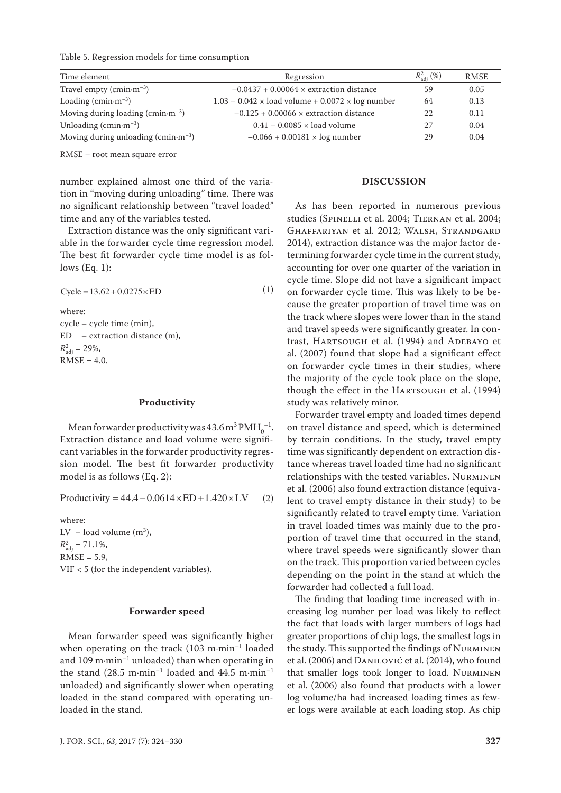Table 5. Regression models for time consumption

| Time element                                            | Regression                                                     | $R_{\rm adi}^2$ (%) | RMSE |
|---------------------------------------------------------|----------------------------------------------------------------|---------------------|------|
| Travel empty (cmin $\cdot$ m <sup>-3</sup> )            | $-0.0437 + 0.00064 \times$ extraction distance                 | 59                  | 0.05 |
| Loading (cmin $\cdot$ m <sup>-3</sup> )                 | $1.03 - 0.042 \times$ load volume + 0.0072 $\times$ log number | 64                  | 0.13 |
| Moving during loading (cmin $\cdot$ m <sup>-3</sup> )   | $-0.125 + 0.00066 \times$ extraction distance                  | 22                  | 0.11 |
| Unloading (cmin $\cdot$ m <sup>-3</sup> )               | $0.41 - 0.0085 \times$ load volume                             | 27                  | 0.04 |
| Moving during unloading (cmin $\cdot$ m <sup>-3</sup> ) | $-0.066 + 0.00181 \times \log$ number                          | 29                  | 0.04 |

RMSE – root mean square error

number explained almost one third of the variation in "moving during unloading" time. There was no significant relationship between "travel loaded" time and any of the variables tested.

Extraction distance was the only significant variable in the forwarder cycle time regression model. The best fit forwarder cycle time model is as follows (Eq. 1):

Cycle =  $13.62 + 0.0275 \times ED$  (1) where:

cycle – cycle time (min),  $ED$  – extraction distance  $(m)$ ,  $R^2_{\text{adj}} = 29\%,$  $RMSE = 4.0$ .

#### **Productivity**

Mean forwarder productivity was  $43.6 \,\mathrm{m^3\,PMH}_{0}^{-1}$ . Extraction distance and load volume were significant variables in the forwarder productivity regression model. The best fit forwarder productivity model is as follows (Eq. 2):

Productivity =  $44.4 - 0.0614 \times ED + 1.420 \times LV$  (2)

where:

 $LV - load volume (m<sup>3</sup>),$  $R^2_{\text{adj}} = 71.1\%$  $RMSE = 5.9$ VIF < 5 (for the independent variables).

#### **Forwarder speed**

Mean forwarder speed was significantly higher when operating on the track (103 m·min–1 loaded and 109 m·min–1 unloaded) than when operating in the stand (28.5 m·min<sup>-1</sup> loaded and 44.5 m·min<sup>-1</sup> unloaded) and significantly slower when operating loaded in the stand compared with operating unloaded in the stand.

#### **DISCUSSION**

As has been reported in numerous previous studies (Spinelli et al. 2004; Tiernan et al. 2004; Ghaffariyan et al. 2012; Walsh, Strandgard 2014), extraction distance was the major factor determining forwarder cycle time in the current study, accounting for over one quarter of the variation in cycle time. Slope did not have a significant impact on forwarder cycle time. This was likely to be because the greater proportion of travel time was on the track where slopes were lower than in the stand and travel speeds were significantly greater. In contrast, HARTSOUGH et al. (1994) and ADEBAYO et al. (2007) found that slope had a significant effect on forwarder cycle times in their studies, where the majority of the cycle took place on the slope, though the effect in the HARTSOUGH et al. (1994) study was relatively minor.

Forwarder travel empty and loaded times depend on travel distance and speed, which is determined by terrain conditions. In the study, travel empty time was significantly dependent on extraction distance whereas travel loaded time had no significant relationships with the tested variables. Nurminen et al. (2006) also found extraction distance (equivalent to travel empty distance in their study) to be significantly related to travel empty time. Variation in travel loaded times was mainly due to the proportion of travel time that occurred in the stand, where travel speeds were significantly slower than on the track. This proportion varied between cycles depending on the point in the stand at which the forwarder had collected a full load.

The finding that loading time increased with increasing log number per load was likely to reflect the fact that loads with larger numbers of logs had greater proportions of chip logs, the smallest logs in the study. This supported the findings of Nurminen et al. (2006) and Danilović et al. (2014), who found that smaller logs took longer to load. Nurminen et al. (2006) also found that products with a lower log volume/ha had increased loading times as fewer logs were available at each loading stop. As chip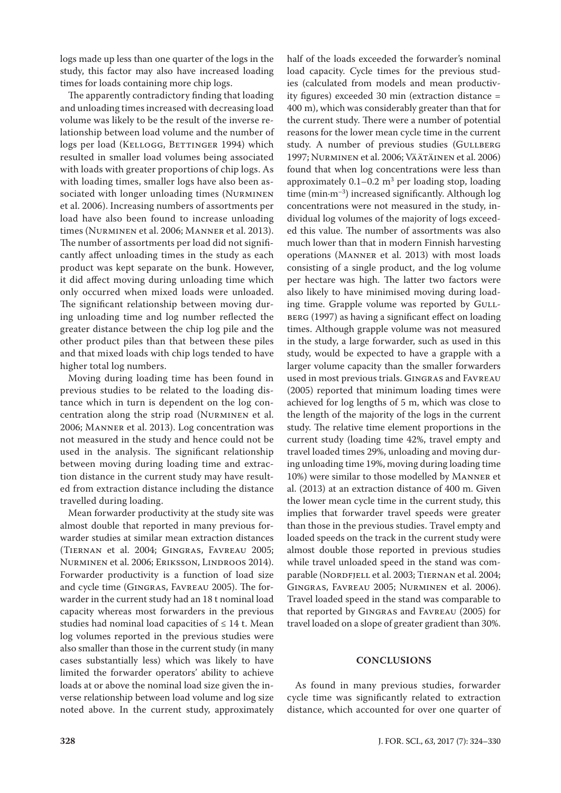logs made up less than one quarter of the logs in the study, this factor may also have increased loading times for loads containing more chip logs.

The apparently contradictory finding that loading and unloading times increased with decreasing load volume was likely to be the result of the inverse relationship between load volume and the number of logs per load (KELLOGG, BETTINGER 1994) which resulted in smaller load volumes being associated with loads with greater proportions of chip logs. As with loading times, smaller logs have also been associated with longer unloading times (NURMINEN et al. 2006). Increasing numbers of assortments per load have also been found to increase unloading times (Nurminen et al. 2006; Manner et al. 2013). The number of assortments per load did not significantly affect unloading times in the study as each product was kept separate on the bunk. However, it did affect moving during unloading time which only occurred when mixed loads were unloaded. The significant relationship between moving during unloading time and log number reflected the greater distance between the chip log pile and the other product piles than that between these piles and that mixed loads with chip logs tended to have higher total log numbers.

Moving during loading time has been found in previous studies to be related to the loading distance which in turn is dependent on the log concentration along the strip road (Nurminen et al. 2006; Manner et al. 2013). Log concentration was not measured in the study and hence could not be used in the analysis. The significant relationship between moving during loading time and extraction distance in the current study may have resulted from extraction distance including the distance travelled during loading.

Mean forwarder productivity at the study site was almost double that reported in many previous forwarder studies at similar mean extraction distances (Tiernan et al. 2004; Gingras, Favreau 2005; Nurminen et al. 2006; Eriksson, Lindroos 2014). Forwarder productivity is a function of load size and cycle time (Gingras, Favreau 2005). The forwarder in the current study had an 18 t nominal load capacity whereas most forwarders in the previous studies had nominal load capacities of  $\leq 14$  t. Mean log volumes reported in the previous studies were also smaller than those in the current study (in many cases substantially less) which was likely to have limited the forwarder operators' ability to achieve loads at or above the nominal load size given the inverse relationship between load volume and log size noted above. In the current study, approximately half of the loads exceeded the forwarder's nominal load capacity. Cycle times for the previous studies (calculated from models and mean productivity figures) exceeded 30 min (extraction distance = 400 m), which was considerably greater than that for the current study. There were a number of potential reasons for the lower mean cycle time in the current study. A number of previous studies (GULLBERG 1997; Nurminen et al. 2006; Väätäinen et al. 2006) found that when log concentrations were less than approximately  $0.1-0.2$  m<sup>3</sup> per loading stop, loading time (min·m–3) increased significantly. Although log concentrations were not measured in the study, individual log volumes of the majority of logs exceeded this value. The number of assortments was also much lower than that in modern Finnish harvesting operations (Manner et al. 2013) with most loads consisting of a single product, and the log volume per hectare was high. The latter two factors were also likely to have minimised moving during loading time. Grapple volume was reported by GULLberg (1997) as having a significant effect on loading times. Although grapple volume was not measured in the study, a large forwarder, such as used in this study, would be expected to have a grapple with a larger volume capacity than the smaller forwarders used in most previous trials. Gingras and Favreau (2005) reported that minimum loading times were achieved for log lengths of 5 m, which was close to the length of the majority of the logs in the current study. The relative time element proportions in the current study (loading time 42%, travel empty and travel loaded times 29%, unloading and moving during unloading time 19%, moving during loading time 10%) were similar to those modelled by Manner et al. (2013) at an extraction distance of 400 m. Given the lower mean cycle time in the current study, this implies that forwarder travel speeds were greater than those in the previous studies. Travel empty and loaded speeds on the track in the current study were almost double those reported in previous studies while travel unloaded speed in the stand was comparable (NORDFJELL et al. 2003; TIERNAN et al. 2004; Gingras, Favreau 2005; Nurminen et al. 2006). Travel loaded speed in the stand was comparable to that reported by Gingras and Favreau (2005) for travel loaded on a slope of greater gradient than 30%.

#### **CONCLUSIONS**

As found in many previous studies, forwarder cycle time was significantly related to extraction distance, which accounted for over one quarter of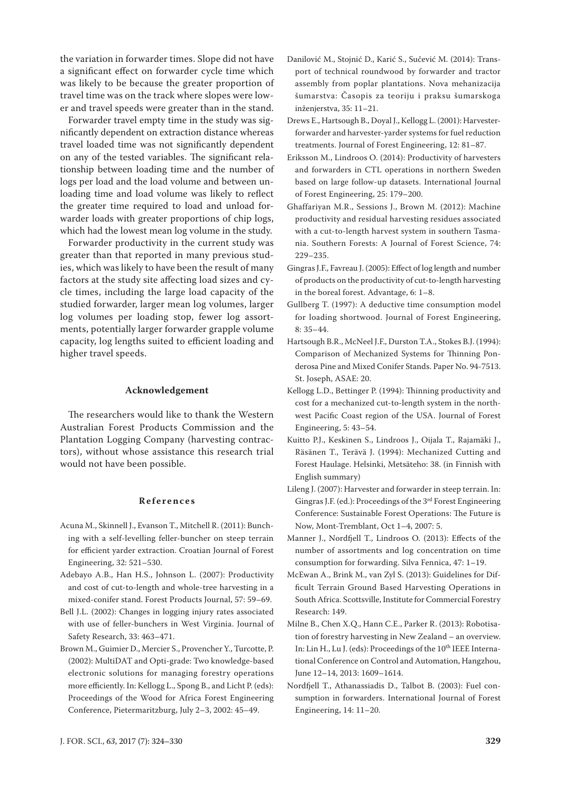the variation in forwarder times. Slope did not have a significant effect on forwarder cycle time which was likely to be because the greater proportion of travel time was on the track where slopes were lower and travel speeds were greater than in the stand.

Forwarder travel empty time in the study was significantly dependent on extraction distance whereas travel loaded time was not significantly dependent on any of the tested variables. The significant relationship between loading time and the number of logs per load and the load volume and between unloading time and load volume was likely to reflect the greater time required to load and unload forwarder loads with greater proportions of chip logs, which had the lowest mean log volume in the study.

Forwarder productivity in the current study was greater than that reported in many previous studies, which was likely to have been the result of many factors at the study site affecting load sizes and cycle times, including the large load capacity of the studied forwarder, larger mean log volumes, larger log volumes per loading stop, fewer log assortments, potentially larger forwarder grapple volume capacity, log lengths suited to efficient loading and higher travel speeds.

#### **Acknowledgement**

The researchers would like to thank the Western Australian Forest Products Commission and the Plantation Logging Company (harvesting contractors), without whose assistance this research trial would not have been possible.

# **References**

- Acuna M., Skinnell J., Evanson T., Mitchell R. (2011): Bunching with a self-levelling feller-buncher on steep terrain for efficient yarder extraction. Croatian Journal of Forest Engineering, 32: 521–530.
- Adebayo A.B., Han H.S., Johnson L. (2007): Productivity and cost of cut-to-length and whole-tree harvesting in a mixed-conifer stand. Forest Products Journal, 57: 59–69.
- Bell J.L. (2002): Changes in logging injury rates associated with use of feller-bunchers in West Virginia. Journal of Safety Research, 33: 463–471.
- Brown M., Guimier D., Mercier S., Provencher Y., Turcotte, P. (2002): MultiDAT and Opti-grade: Two knowledge-based electronic solutions for managing forestry operations more efficiently. In: Kellogg L., Spong B., and Licht P. (eds): Proceedings of the Wood for Africa Forest Engineering Conference, Pietermaritzburg, July 2–3, 2002: 45–49.
- Danilović M., Stojnić D., Karić S., Sučević M. (2014): Transport of technical roundwood by forwarder and tractor assembly from poplar plantations. Nova mehanizacija šumarstva: Časopis za teoriju i praksu šumarskoga inženjerstva, 35: 11–21.
- Drews E., Hartsough B., Doyal J., Kellogg L. (2001): Harvesterforwarder and harvester-yarder systems for fuel reduction treatments. Journal of Forest Engineering, 12: 81–87.
- Eriksson M., Lindroos O. (2014): Productivity of harvesters and forwarders in CTL operations in northern Sweden based on large follow-up datasets. International Journal of Forest Engineering, 25: 179–200.
- Ghaffariyan M.R., Sessions J., Brown M. (2012): Machine productivity and residual harvesting residues associated with a cut-to-length harvest system in southern Tasmania. Southern Forests: A Journal of Forest Science, 74: 229–235.
- Gingras J.F., Favreau J. (2005): Effect of log length and number of products on the productivity of cut-to-length harvesting in the boreal forest. Advantage, 6: 1–8.
- Gullberg T. (1997): A deductive time consumption model for loading shortwood. Journal of Forest Engineering, 8: 35–44.
- Hartsough B.R., McNeel J.F., Durston T.A., Stokes B.J. (1994): Comparison of Mechanized Systems for Thinning Ponderosa Pine and Mixed Conifer Stands. Paper No. 94-7513. St. Joseph, ASAE: 20.
- Kellogg L.D., Bettinger P. (1994): Thinning productivity and cost for a mechanized cut-to-length system in the northwest Pacific Coast region of the USA. Journal of Forest Engineering, 5: 43–54.
- Kuitto P.J., Keskinen S., Lindroos J., Oijala T., Rajamäki J., Räsänen T., Terävä J. (1994): Mechanized Cutting and Forest Haulage. Helsinki, Metsäteho: 38. (in Finnish with English summary)
- Lileng J. (2007): Harvester and forwarder in steep terrain. In: Gingras J.F. (ed.): Proceedings of the 3rd Forest Engineering Conference: Sustainable Forest Operations: The Future is Now, Mont-Tremblant, Oct 1–4, 2007: 5.
- Manner J., Nordfjell T., Lindroos O. (2013): Effects of the number of assortments and log concentration on time consumption for forwarding. Silva Fennica, 47: 1–19.
- McEwan A., Brink M., van Zyl S. (2013): Guidelines for Difficult Terrain Ground Based Harvesting Operations in South Africa. Scottsville, Institute for Commercial Forestry Research: 149.
- Milne B., Chen X.Q., Hann C.E., Parker R. (2013): Robotisation of forestry harvesting in New Zealand – an overview. In: Lin H., Lu J. (eds): Proceedings of the 10<sup>th</sup> IEEE International Conference on Control and Automation, Hangzhou, June 12–14, 2013: 1609–1614.
- Nordfjell T., Athanassiadis D., Talbot B. (2003): Fuel consumption in forwarders. International Journal of Forest Engineering, 14: 11–20.